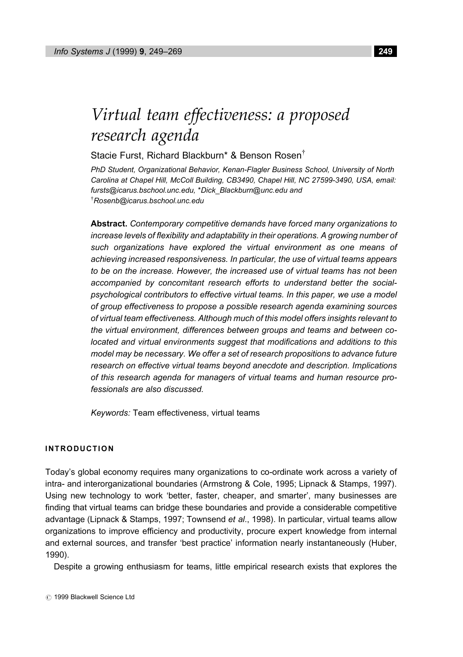# Virtual team effectiveness: a proposed research agenda

Stacie Furst, Richard Blackburn\* & Benson Rosen<sup>†</sup>

PhD Student, Organizational Behavior, Kenan-Flagler Business School, University of North Carolina at Chapel Hill, McColl Building, CB3490, Chapel Hill, NC 27599-3490, USA, email: fursts@icarus.bschool.unc.edu, \*Dick\_Blackburn@unc.edu and { Rosenb@icarus.bschool.unc.edu

Abstract. Contemporary competitive demands have forced many organizations to increase levels of flexibility and adaptability in their operations. A growing number of such organizations have explored the virtual environment as one means of achieving increased responsiveness. In particular, the use of virtual teams appears to be on the increase. However, the increased use of virtual teams has not been accompanied by concomitant research efforts to understand better the socialpsychological contributors to effective virtual teams. In this paper, we use a model of group effectiveness to propose a possible research agenda examining sources of virtual team effectiveness. Although much of this model offers insights relevant to the virtual environment, differences between groups and teams and between colocated and virtual environments suggest that modifications and additions to this model may be necessary. We offer a set of research propositions to advance future research on effective virtual teams beyond anecdote and description. Implications of this research agenda for managers of virtual teams and human resource professionals are also discussed.

Keywords: Team effectiveness, virtual teams

## INTRODUCTION

Today's global economy requires many organizations to co-ordinate work across a variety of intra- and interorganizational boundaries (Armstrong & Cole, 1995; Lipnack & Stamps, 1997). Using new technology to work 'better, faster, cheaper, and smarter', many businesses are finding that virtual teams can bridge these boundaries and provide a considerable competitive advantage (Lipnack & Stamps, 1997; Townsend et al., 1998). In particular, virtual teams allow organizations to improve efficiency and productivity, procure expert knowledge from internal and external sources, and transfer 'best practice' information nearly instantaneously (Huber, 1990).

Despite a growing enthusiasm for teams, little empirical research exists that explores the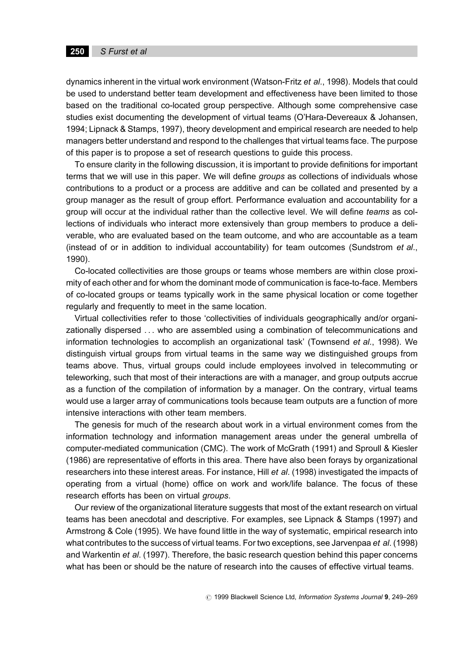dynamics inherent in the virtual work environment (Watson-Fritz et al., 1998). Models that could be used to understand better team development and effectiveness have been limited to those based on the traditional co-located group perspective. Although some comprehensive case studies exist documenting the development of virtual teams (O'Hara-Devereaux & Johansen, 1994; Lipnack & Stamps, 1997), theory development and empirical research are needed to help managers better understand and respond to the challenges that virtual teams face. The purpose of this paper is to propose a set of research questions to guide this process.

To ensure clarity in the following discussion, it is important to provide definitions for important terms that we will use in this paper. We will define *groups* as collections of individuals whose contributions to a product or a process are additive and can be collated and presented by a group manager as the result of group effort. Performance evaluation and accountability for a group will occur at the individual rather than the collective level. We will define teams as collections of individuals who interact more extensively than group members to produce a deliverable, who are evaluated based on the team outcome, and who are accountable as a team (instead of or in addition to individual accountability) for team outcomes (Sundstrom et al., 1990).

Co-located collectivities are those groups or teams whose members are within close proximity of each other and for whom the dominant mode of communication is face-to-face. Members of co-located groups or teams typically work in the same physical location or come together regularly and frequently to meet in the same location.

Virtual collectivities refer to those `collectivities of individuals geographically and/or organizationally dispersed . . . who are assembled using a combination of telecommunications and information technologies to accomplish an organizational task' (Townsend et al., 1998). We distinguish virtual groups from virtual teams in the same way we distinguished groups from teams above. Thus, virtual groups could include employees involved in telecommuting or teleworking, such that most of their interactions are with a manager, and group outputs accrue as a function of the compilation of information by a manager. On the contrary, virtual teams would use a larger array of communications tools because team outputs are a function of more intensive interactions with other team members.

The genesis for much of the research about work in a virtual environment comes from the information technology and information management areas under the general umbrella of computer-mediated communication (CMC). The work of McGrath (1991) and Sproull & Kiesler (1986) are representative of efforts in this area. There have also been forays by organizational researchers into these interest areas. For instance, Hill et al. (1998) investigated the impacts of operating from a virtual (home) office on work and work/life balance. The focus of these research efforts has been on virtual groups.

Our review of the organizational literature suggests that most of the extant research on virtual teams has been anecdotal and descriptive. For examples, see Lipnack & Stamps (1997) and Armstrong & Cole (1995). We have found little in the way of systematic, empirical research into what contributes to the success of virtual teams. For two exceptions, see Jarvenpaa et al. (1998) and Warkentin et al. (1997). Therefore, the basic research question behind this paper concerns what has been or should be the nature of research into the causes of effective virtual teams.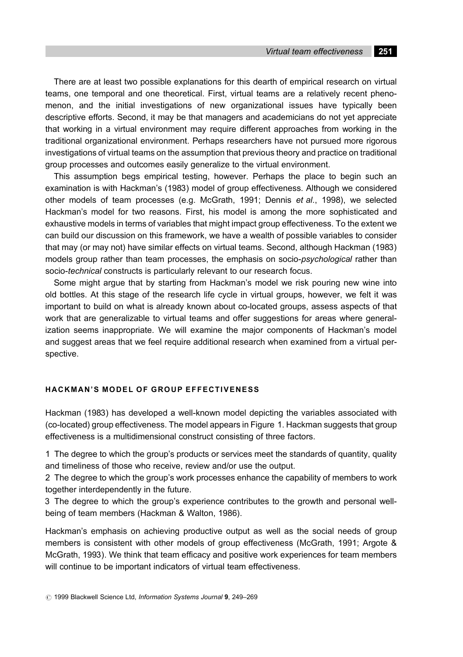There are at least two possible explanations for this dearth of empirical research on virtual teams, one temporal and one theoretical. First, virtual teams are a relatively recent phenomenon, and the initial investigations of new organizational issues have typically been descriptive efforts. Second, it may be that managers and academicians do not yet appreciate that working in a virtual environment may require different approaches from working in the traditional organizational environment. Perhaps researchers have not pursued more rigorous investigations of virtual teams on the assumption that previous theory and practice on traditional group processes and outcomes easily generalize to the virtual environment.

This assumption begs empirical testing, however. Perhaps the place to begin such an examination is with Hackman's (1983) model of group effectiveness. Although we considered other models of team processes (e.g. McGrath, 1991; Dennis et al., 1998), we selected Hackman's model for two reasons. First, his model is among the more sophisticated and exhaustive models in terms of variables that might impact group effectiveness. To the extent we can build our discussion on this framework, we have a wealth of possible variables to consider that may (or may not) have similar effects on virtual teams. Second, although Hackman (1983) models group rather than team processes, the emphasis on socio-*psychological* rather than socio-technical constructs is particularly relevant to our research focus.

Some might argue that by starting from Hackman's model we risk pouring new wine into old bottles. At this stage of the research life cycle in virtual groups, however, we felt it was important to build on what is already known about co-located groups, assess aspects of that work that are generalizable to virtual teams and offer suggestions for areas where generalization seems inappropriate. We will examine the major components of Hackman's model and suggest areas that we feel require additional research when examined from a virtual perspective.

#### HACKMAN'S MODEL OF GROUP EFFECTIVENESS

Hackman (1983) has developed a well-known model depicting the variables associated with (co-located) group effectiveness. The model appears in Figure 1. Hackman suggests that group effectiveness is a multidimensional construct consisting of three factors.

1 The degree to which the group's products or services meet the standards of quantity, quality and timeliness of those who receive, review and/or use the output.

2 The degree to which the group's work processes enhance the capability of members to work together interdependently in the future.

3 The degree to which the group's experience contributes to the growth and personal wellbeing of team members (Hackman & Walton, 1986).

Hackman's emphasis on achieving productive output as well as the social needs of group members is consistent with other models of group effectiveness (McGrath, 1991; Argote & McGrath, 1993). We think that team efficacy and positive work experiences for team members will continue to be important indicators of virtual team effectiveness.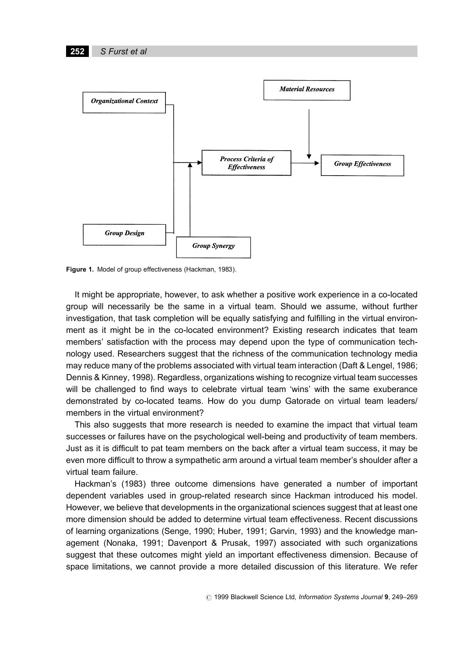



Figure 1. Model of group effectiveness (Hackman, 1983).

It might be appropriate, however, to ask whether a positive work experience in a co-located group will necessarily be the same in a virtual team. Should we assume, without further investigation, that task completion will be equally satisfying and fulfilling in the virtual environment as it might be in the co-located environment? Existing research indicates that team members' satisfaction with the process may depend upon the type of communication technology used. Researchers suggest that the richness of the communication technology media may reduce many of the problems associated with virtual team interaction (Daft & Lengel, 1986; Dennis & Kinney, 1998). Regardless, organizations wishing to recognize virtual team successes will be challenged to find ways to celebrate virtual team 'wins' with the same exuberance demonstrated by co-located teams. How do you dump Gatorade on virtual team leaders/ members in the virtual environment?

This also suggests that more research is needed to examine the impact that virtual team successes or failures have on the psychological well-being and productivity of team members. Just as it is difficult to pat team members on the back after a virtual team success, it may be even more difficult to throw a sympathetic arm around a virtual team member's shoulder after a virtual team failure.

Hackman's (1983) three outcome dimensions have generated a number of important dependent variables used in group-related research since Hackman introduced his model. However, we believe that developments in the organizational sciences suggest that at least one more dimension should be added to determine virtual team effectiveness. Recent discussions of learning organizations (Senge, 1990; Huber, 1991; Garvin, 1993) and the knowledge management (Nonaka, 1991; Davenport & Prusak, 1997) associated with such organizations suggest that these outcomes might yield an important effectiveness dimension. Because of space limitations, we cannot provide a more detailed discussion of this literature. We refer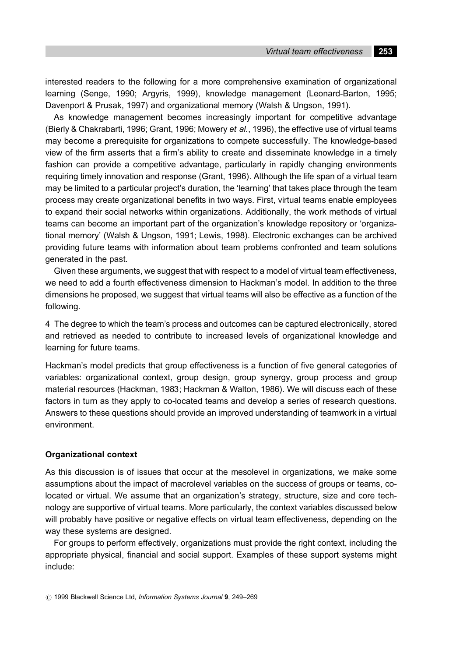interested readers to the following for a more comprehensive examination of organizational learning (Senge, 1990; Argyris, 1999), knowledge management (Leonard-Barton, 1995; Davenport & Prusak, 1997) and organizational memory (Walsh & Ungson, 1991).

As knowledge management becomes increasingly important for competitive advantage (Bierly & Chakrabarti, 1996; Grant, 1996; Mowery et al., 1996), the effective use of virtual teams may become a prerequisite for organizations to compete successfully. The knowledge-based view of the firm asserts that a firm's ability to create and disseminate knowledge in a timely fashion can provide a competitive advantage, particularly in rapidly changing environments requiring timely innovation and response (Grant, 1996). Although the life span of a virtual team may be limited to a particular project's duration, the 'learning' that takes place through the team process may create organizational benefits in two ways. First, virtual teams enable employees to expand their social networks within organizations. Additionally, the work methods of virtual teams can become an important part of the organization's knowledge repository or `organizational memory' (Walsh & Ungson, 1991; Lewis, 1998). Electronic exchanges can be archived providing future teams with information about team problems confronted and team solutions generated in the past.

Given these arguments, we suggest that with respect to a model of virtual team effectiveness, we need to add a fourth effectiveness dimension to Hackman's model. In addition to the three dimensions he proposed, we suggest that virtual teams will also be effective as a function of the following.

4 The degree to which the team's process and outcomes can be captured electronically, stored and retrieved as needed to contribute to increased levels of organizational knowledge and learning for future teams.

Hackman's model predicts that group effectiveness is a function of five general categories of variables: organizational context, group design, group synergy, group process and group material resources (Hackman, 1983; Hackman & Walton, 1986). We will discuss each of these factors in turn as they apply to co-located teams and develop a series of research questions. Answers to these questions should provide an improved understanding of teamwork in a virtual environment.

#### Organizational context

As this discussion is of issues that occur at the mesolevel in organizations, we make some assumptions about the impact of macrolevel variables on the success of groups or teams, colocated or virtual. We assume that an organization's strategy, structure, size and core technology are supportive of virtual teams. More particularly, the context variables discussed below will probably have positive or negative effects on virtual team effectiveness, depending on the way these systems are designed.

For groups to perform effectively, organizations must provide the right context, including the appropriate physical, financial and social support. Examples of these support systems might include: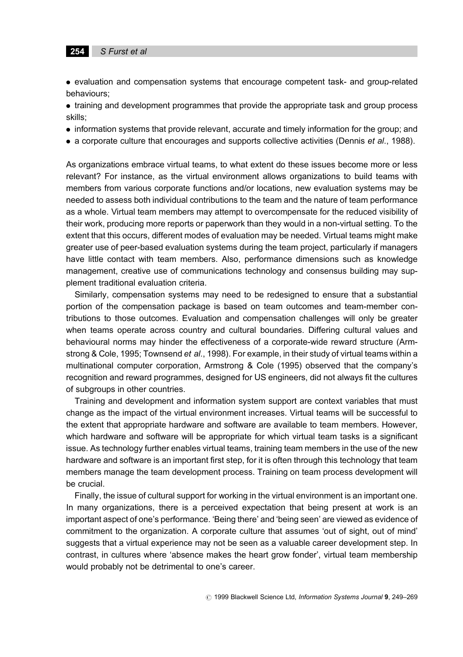. evaluation and compensation systems that encourage competent task- and group-related behaviours;

. training and development programmes that provide the appropriate task and group process skills;

- . information systems that provide relevant, accurate and timely information for the group; and
- a corporate culture that encourages and supports collective activities (Dennis et al., 1988).

As organizations embrace virtual teams, to what extent do these issues become more or less relevant? For instance, as the virtual environment allows organizations to build teams with members from various corporate functions and/or locations, new evaluation systems may be needed to assess both individual contributions to the team and the nature of team performance as a whole. Virtual team members may attempt to overcompensate for the reduced visibility of their work, producing more reports or paperwork than they would in a non-virtual setting. To the extent that this occurs, different modes of evaluation may be needed. Virtual teams might make greater use of peer-based evaluation systems during the team project, particularly if managers have little contact with team members. Also, performance dimensions such as knowledge management, creative use of communications technology and consensus building may supplement traditional evaluation criteria.

Similarly, compensation systems may need to be redesigned to ensure that a substantial portion of the compensation package is based on team outcomes and team-member contributions to those outcomes. Evaluation and compensation challenges will only be greater when teams operate across country and cultural boundaries. Differing cultural values and behavioural norms may hinder the effectiveness of a corporate-wide reward structure (Armstrong & Cole, 1995; Townsend et al., 1998). For example, in their study of virtual teams within a multinational computer corporation, Armstrong & Cole (1995) observed that the company's recognition and reward programmes, designed for US engineers, did not always fit the cultures of subgroups in other countries.

Training and development and information system support are context variables that must change as the impact of the virtual environment increases. Virtual teams will be successful to the extent that appropriate hardware and software are available to team members. However, which hardware and software will be appropriate for which virtual team tasks is a significant issue. As technology further enables virtual teams, training team members in the use of the new hardware and software is an important first step, for it is often through this technology that team members manage the team development process. Training on team process development will be crucial.

Finally, the issue of cultural support for working in the virtual environment is an important one. In many organizations, there is a perceived expectation that being present at work is an important aspect of one's performance. `Being there' and `being seen' are viewed as evidence of commitment to the organization. A corporate culture that assumes `out of sight, out of mind' suggests that a virtual experience may not be seen as a valuable career development step. In contrast, in cultures where 'absence makes the heart grow fonder', virtual team membership would probably not be detrimental to one's career.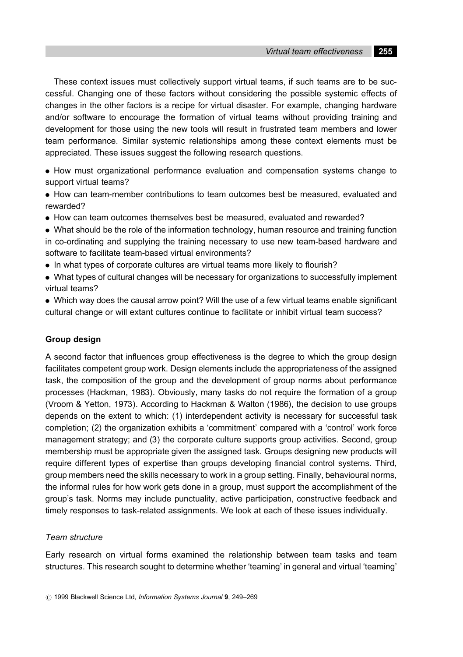These context issues must collectively support virtual teams, if such teams are to be successful. Changing one of these factors without considering the possible systemic effects of changes in the other factors is a recipe for virtual disaster. For example, changing hardware and/or software to encourage the formation of virtual teams without providing training and development for those using the new tools will result in frustrated team members and lower team performance. Similar systemic relationships among these context elements must be appreciated. These issues suggest the following research questions.

. How must organizational performance evaluation and compensation systems change to support virtual teams?

. How can team-member contributions to team outcomes best be measured, evaluated and rewarded?

. How can team outcomes themselves best be measured, evaluated and rewarded?

. What should be the role of the information technology, human resource and training function in co-ordinating and supplying the training necessary to use new team-based hardware and software to facilitate team-based virtual environments?

- . In what types of corporate cultures are virtual teams more likely to flourish?
- . What types of cultural changes will be necessary for organizations to successfully implement virtual teams?

. Which way does the causal arrow point? Will the use of a few virtual teams enable significant cultural change or will extant cultures continue to facilitate or inhibit virtual team success?

## Group design

A second factor that influences group effectiveness is the degree to which the group design facilitates competent group work. Design elements include the appropriateness of the assigned task, the composition of the group and the development of group norms about performance processes (Hackman, 1983). Obviously, many tasks do not require the formation of a group (Vroom & Yetton, 1973). According to Hackman & Walton (1986), the decision to use groups depends on the extent to which: (1) interdependent activity is necessary for successful task completion; (2) the organization exhibits a 'commitment' compared with a 'control' work force management strategy; and (3) the corporate culture supports group activities. Second, group membership must be appropriate given the assigned task. Groups designing new products will require different types of expertise than groups developing financial control systems. Third, group members need the skills necessary to work in a group setting. Finally, behavioural norms, the informal rules for how work gets done in a group, must support the accomplishment of the group's task. Norms may include punctuality, active participation, constructive feedback and timely responses to task-related assignments. We look at each of these issues individually.

## Team structure

Early research on virtual forms examined the relationship between team tasks and team structures. This research sought to determine whether 'teaming' in general and virtual 'teaming'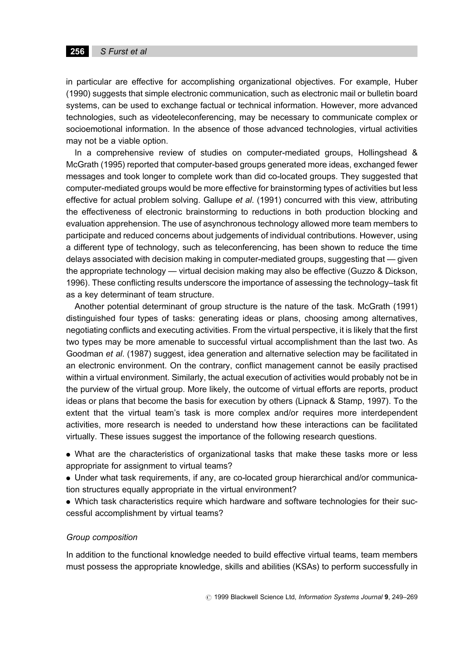in particular are effective for accomplishing organizational objectives. For example, Huber (1990) suggests that simple electronic communication, such as electronic mail or bulletin board systems, can be used to exchange factual or technical information. However, more advanced technologies, such as videoteleconferencing, may be necessary to communicate complex or socioemotional information. In the absence of those advanced technologies, virtual activities may not be a viable option.

In a comprehensive review of studies on computer-mediated groups, Hollingshead & McGrath (1995) reported that computer-based groups generated more ideas, exchanged fewer messages and took longer to complete work than did co-located groups. They suggested that computer-mediated groups would be more effective for brainstorming types of activities but less effective for actual problem solving. Gallupe *et al.* (1991) concurred with this view, attributing the effectiveness of electronic brainstorming to reductions in both production blocking and evaluation apprehension. The use of asynchronous technology allowed more team members to participate and reduced concerns about judgements of individual contributions. However, using a different type of technology, such as teleconferencing, has been shown to reduce the time delays associated with decision making in computer-mediated groups, suggesting that – given the appropriate technology — virtual decision making may also be effective (Guzzo & Dickson, 1996). These conflicting results underscore the importance of assessing the technology-task fit as a key determinant of team structure.

Another potential determinant of group structure is the nature of the task. McGrath (1991) distinguished four types of tasks: generating ideas or plans, choosing among alternatives, negotiating conflicts and executing activities. From the virtual perspective, it is likely that the first two types may be more amenable to successful virtual accomplishment than the last two. As Goodman et al. (1987) suggest, idea generation and alternative selection may be facilitated in an electronic environment. On the contrary, conflict management cannot be easily practised within a virtual environment. Similarly, the actual execution of activities would probably not be in the purview of the virtual group. More likely, the outcome of virtual efforts are reports, product ideas or plans that become the basis for execution by others (Lipnack & Stamp, 1997). To the extent that the virtual team's task is more complex and/or requires more interdependent activities, more research is needed to understand how these interactions can be facilitated virtually. These issues suggest the importance of the following research questions.

. What are the characteristics of organizational tasks that make these tasks more or less appropriate for assignment to virtual teams?

. Under what task requirements, if any, are co-located group hierarchical and/or communication structures equally appropriate in the virtual environment?

. Which task characteristics require which hardware and software technologies for their successful accomplishment by virtual teams?

## Group composition

In addition to the functional knowledge needed to build effective virtual teams, team members must possess the appropriate knowledge, skills and abilities (KSAs) to perform successfully in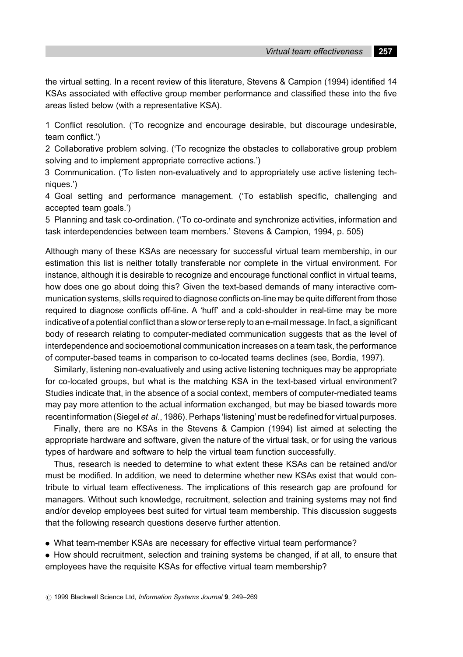the virtual setting. In a recent review of this literature, Stevens & Campion (1994) identified 14 KSAs associated with effective group member performance and classified these into the five areas listed below (with a representative KSA).

1 Conflict resolution. (`To recognize and encourage desirable, but discourage undesirable, team conflict.')

2 Collaborative problem solving. (`To recognize the obstacles to collaborative group problem solving and to implement appropriate corrective actions.')

3 Communication. (`To listen non-evaluatively and to appropriately use active listening techniques.')

4 Goal setting and performance management. (`To establish specific, challenging and accepted team goals.')

5 Planning and task co-ordination. (`To co-ordinate and synchronize activities, information and task interdependencies between team members.' Stevens & Campion, 1994, p. 505)

Although many of these KSAs are necessary for successful virtual team membership, in our estimation this list is neither totally transferable nor complete in the virtual environment. For instance, although it is desirable to recognize and encourage functional conflict in virtual teams, how does one go about doing this? Given the text-based demands of many interactive communication systems, skills required to diagnose conflicts on-line may be quite different from those required to diagnose conflicts off-line. A `huff' and a cold-shoulder in real-time may be more indicative of a potential conflict than a slow orterse replyto an e-mail message. In fact, a significant body of research relating to computer-mediated communication suggests that as the level of interdependence and socioemotional communication increases on a team task, the performance of computer-based teams in comparison to co-located teams declines (see, Bordia, 1997).

Similarly, listening non-evaluatively and using active listening techniques may be appropriate for co-located groups, but what is the matching KSA in the text-based virtual environment? Studies indicate that, in the absence of a social context, members of computer-mediated teams may pay more attention to the actual information exchanged, but may be biased towards more recent information (Siegel et al., 1986). Perhaps 'listening' must be redefined for virtual purposes.

Finally, there are no KSAs in the Stevens & Campion (1994) list aimed at selecting the appropriate hardware and software, given the nature of the virtual task, or for using the various types of hardware and software to help the virtual team function successfully.

Thus, research is needed to determine to what extent these KSAs can be retained and/or must be modified. In addition, we need to determine whether new KSAs exist that would contribute to virtual team effectiveness. The implications of this research gap are profound for managers. Without such knowledge, recruitment, selection and training systems may not find and/or develop employees best suited for virtual team membership. This discussion suggests that the following research questions deserve further attention.

. What team-member KSAs are necessary for effective virtual team performance?

. How should recruitment, selection and training systems be changed, if at all, to ensure that employees have the requisite KSAs for effective virtual team membership?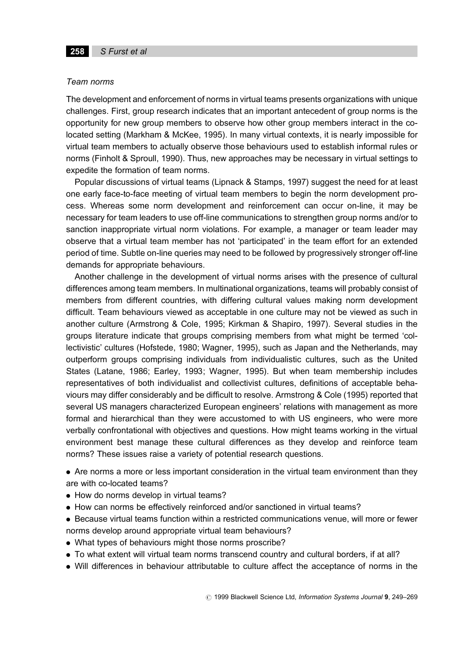## Team norms

The development and enforcement of norms in virtual teams presents organizations with unique challenges. First, group research indicates that an important antecedent of group norms is the opportunity for new group members to observe how other group members interact in the colocated setting (Markham & McKee, 1995). In many virtual contexts, it is nearly impossible for virtual team members to actually observe those behaviours used to establish informal rules or norms (Finholt & Sproull, 1990). Thus, new approaches may be necessary in virtual settings to expedite the formation of team norms.

Popular discussions of virtual teams (Lipnack & Stamps, 1997) suggest the need for at least one early face-to-face meeting of virtual team members to begin the norm development process. Whereas some norm development and reinforcement can occur on-line, it may be necessary for team leaders to use off-line communications to strengthen group norms and/or to sanction inappropriate virtual norm violations. For example, a manager or team leader may observe that a virtual team member has not `participated' in the team effort for an extended period of time. Subtle on-line queries may need to be followed by progressively stronger off-line demands for appropriate behaviours.

Another challenge in the development of virtual norms arises with the presence of cultural differences among team members. In multinational organizations, teams will probably consist of members from different countries, with differing cultural values making norm development difficult. Team behaviours viewed as acceptable in one culture may not be viewed as such in another culture (Armstrong & Cole, 1995; Kirkman & Shapiro, 1997). Several studies in the groups literature indicate that groups comprising members from what might be termed `collectivistic' cultures (Hofstede, 1980; Wagner, 1995), such as Japan and the Netherlands, may outperform groups comprising individuals from individualistic cultures, such as the United States (Latane, 1986; Earley, 1993; Wagner, 1995). But when team membership includes representatives of both individualist and collectivist cultures, definitions of acceptable behaviours may differ considerably and be difficult to resolve. Armstrong & Cole (1995) reported that several US managers characterized European engineers' relations with management as more formal and hierarchical than they were accustomed to with US engineers, who were more verbally confrontational with objectives and questions. How might teams working in the virtual environment best manage these cultural differences as they develop and reinforce team norms? These issues raise a variety of potential research questions.

. Are norms a more or less important consideration in the virtual team environment than they are with co-located teams?

- . How do norms develop in virtual teams?
- . How can norms be effectively reinforced and/or sanctioned in virtual teams?
- . Because virtual teams function within a restricted communications venue, will more or fewer norms develop around appropriate virtual team behaviours?
- . What types of behaviours might those norms proscribe?
- . To what extent will virtual team norms transcend country and cultural borders, if at all?
- . Will differences in behaviour attributable to culture affect the acceptance of norms in the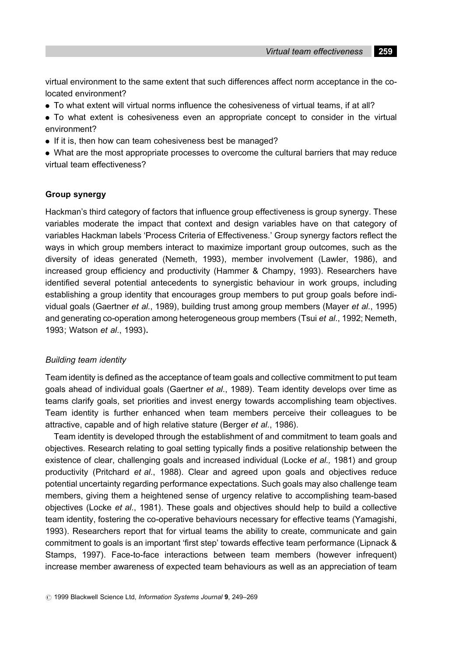virtual environment to the same extent that such differences affect norm acceptance in the colocated environment?

- . To what extent will virtual norms influence the cohesiveness of virtual teams, if at all?
- . To what extent is cohesiveness even an appropriate concept to consider in the virtual environment?
- If it is, then how can team cohesiveness best be managed?
- . What are the most appropriate processes to overcome the cultural barriers that may reduce virtual team effectiveness?

#### Group synergy

Hackman's third category of factors that influence group effectiveness is group synergy. These variables moderate the impact that context and design variables have on that category of variables Hackman labels `Process Criteria of Effectiveness.' Group synergy factors reflect the ways in which group members interact to maximize important group outcomes, such as the diversity of ideas generated (Nemeth, 1993), member involvement (Lawler, 1986), and increased group efficiency and productivity (Hammer & Champy, 1993). Researchers have identified several potential antecedents to synergistic behaviour in work groups, including establishing a group identity that encourages group members to put group goals before individual goals (Gaertner et al., 1989), building trust among group members (Mayer et al., 1995) and generating co-operation among heterogeneous group members (Tsui et al., 1992; Nemeth, 1993; Watson et al., 1993).

## Building team identity

Team identity is defined as the acceptance of team goals and collective commitment to put team goals ahead of individual goals (Gaertner et al., 1989). Team identity develops over time as teams clarify goals, set priorities and invest energy towards accomplishing team objectives. Team identity is further enhanced when team members perceive their colleagues to be attractive, capable and of high relative stature (Berger et al., 1986).

Team identity is developed through the establishment of and commitment to team goals and objectives. Research relating to goal setting typically finds a positive relationship between the existence of clear, challenging goals and increased individual (Locke et al., 1981) and group productivity (Pritchard et al., 1988). Clear and agreed upon goals and objectives reduce potential uncertainty regarding performance expectations. Such goals may also challenge team members, giving them a heightened sense of urgency relative to accomplishing team-based objectives (Locke et al., 1981). These goals and objectives should help to build a collective team identity, fostering the co-operative behaviours necessary for effective teams (Yamagishi, 1993). Researchers report that for virtual teams the ability to create, communicate and gain commitment to goals is an important 'first step' towards effective team performance (Lipnack & Stamps, 1997). Face-to-face interactions between team members (however infrequent) increase member awareness of expected team behaviours as well as an appreciation of team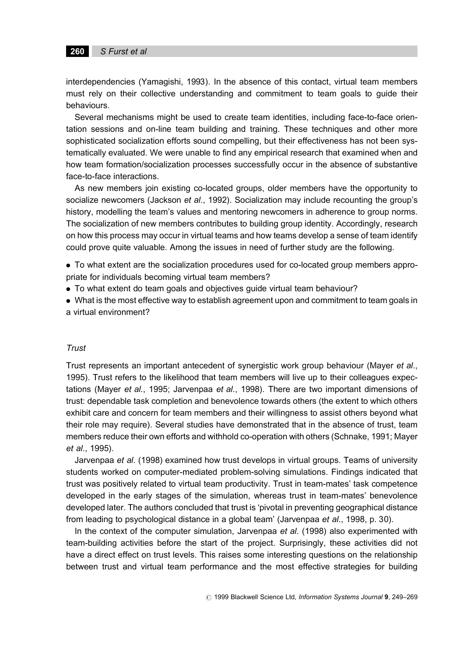interdependencies (Yamagishi, 1993). In the absence of this contact, virtual team members must rely on their collective understanding and commitment to team goals to guide their behaviours.

Several mechanisms might be used to create team identities, including face-to-face orientation sessions and on-line team building and training. These techniques and other more sophisticated socialization efforts sound compelling, but their effectiveness has not been systematically evaluated. We were unable to find any empirical research that examined when and how team formation/socialization processes successfully occur in the absence of substantive face-to-face interactions.

As new members join existing co-located groups, older members have the opportunity to socialize newcomers (Jackson et al., 1992). Socialization may include recounting the group's history, modelling the team's values and mentoring newcomers in adherence to group norms. The socialization of new members contributes to building group identity. Accordingly, research on how this process may occur in virtual teams and how teams develop a sense of team identify could prove quite valuable. Among the issues in need of further study are the following.

. To what extent are the socialization procedures used for co-located group members appropriate for individuals becoming virtual team members?

. To what extent do team goals and objectives guide virtual team behaviour?

. What is the most effective way to establish agreement upon and commitment to team goals in a virtual environment?

#### **Trust**

Trust represents an important antecedent of synergistic work group behaviour (Mayer et al., 1995). Trust refers to the likelihood that team members will live up to their colleagues expectations (Mayer et al., 1995; Jarvenpaa et al., 1998). There are two important dimensions of trust: dependable task completion and benevolence towards others (the extent to which others exhibit care and concern for team members and their willingness to assist others beyond what their role may require). Several studies have demonstrated that in the absence of trust, team members reduce their own efforts and withhold co-operation with others (Schnake, 1991; Mayer et al., 1995).

Jarvenpaa et al. (1998) examined how trust develops in virtual groups. Teams of university students worked on computer-mediated problem-solving simulations. Findings indicated that trust was positively related to virtual team productivity. Trust in team-mates' task competence developed in the early stages of the simulation, whereas trust in team-mates' benevolence developed later. The authors concluded that trust is 'pivotal in preventing geographical distance from leading to psychological distance in a global team' (Jarvenpaa et al., 1998, p. 30).

In the context of the computer simulation, Jarvenpaa et al. (1998) also experimented with team-building activities before the start of the project. Surprisingly, these activities did not have a direct effect on trust levels. This raises some interesting questions on the relationship between trust and virtual team performance and the most effective strategies for building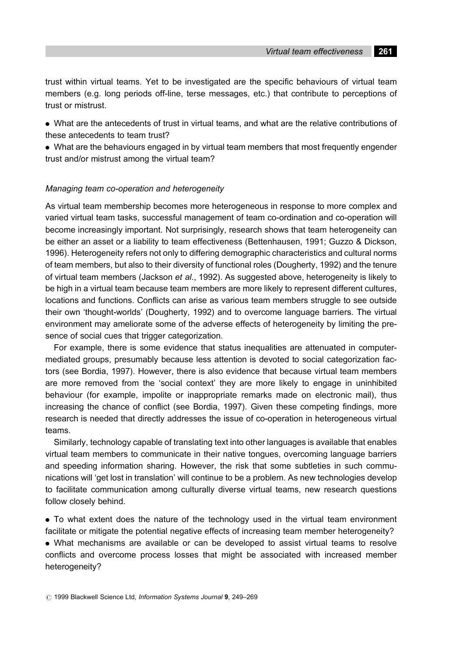trust within virtual teams. Yet to be investigated are the specific behaviours of virtual team members (e.g. long periods off-line, terse messages, etc.) that contribute to perceptions of trust or mistrust.

. What are the antecedents of trust in virtual teams, and what are the relative contributions of these antecedents to team trust?

. What are the behaviours engaged in by virtual team members that most frequently engender trust and/or mistrust among the virtual team?

## Managing team co-operation and heterogeneity

As virtual team membership becomes more heterogeneous in response to more complex and varied virtual team tasks, successful management of team co-ordination and co-operation will become increasingly important. Not surprisingly, research shows that team heterogeneity can be either an asset or a liability to team effectiveness (Bettenhausen, 1991; Guzzo & Dickson, 1996). Heterogeneity refers not only to differing demographic characteristics and cultural norms of team members, but also to their diversity of functional roles (Dougherty, 1992) and the tenure of virtual team members (Jackson et al., 1992). As suggested above, heterogeneity is likely to be high in a virtual team because team members are more likely to represent different cultures, locations and functions. Conflicts can arise as various team members struggle to see outside their own `thought-worlds' (Dougherty, 1992) and to overcome language barriers. The virtual environment may ameliorate some of the adverse effects of heterogeneity by limiting the presence of social cues that trigger categorization.

For example, there is some evidence that status inequalities are attenuated in computermediated groups, presumably because less attention is devoted to social categorization factors (see Bordia, 1997). However, there is also evidence that because virtual team members are more removed from the `social context' they are more likely to engage in uninhibited behaviour (for example, impolite or inappropriate remarks made on electronic mail), thus increasing the chance of conflict (see Bordia, 1997). Given these competing findings, more research is needed that directly addresses the issue of co-operation in heterogeneous virtual teams.

Similarly, technology capable of translating text into other languages is available that enables virtual team members to communicate in their native tongues, overcoming language barriers and speeding information sharing. However, the risk that some subtleties in such communications will `get lost in translation' will continue to be a problem. As new technologies develop to facilitate communication among culturally diverse virtual teams, new research questions follow closely behind.

. To what extent does the nature of the technology used in the virtual team environment facilitate or mitigate the potential negative effects of increasing team member heterogeneity?

. What mechanisms are available or can be developed to assist virtual teams to resolve conflicts and overcome process losses that might be associated with increased member heterogeneity?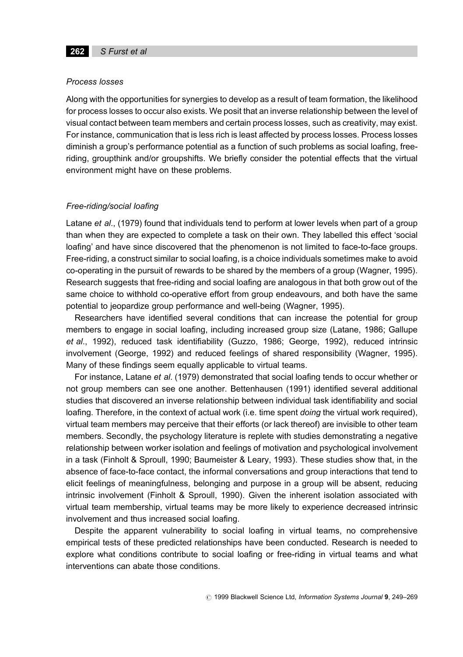### Process losses

Along with the opportunities for synergies to develop as a result of team formation, the likelihood for process losses to occur also exists. We posit that an inverse relationship between the level of visual contact between team members and certain process losses, such as creativity, may exist. For instance, communication that is less rich is least affected by process losses. Process losses diminish a group's performance potential as a function of such problems as social loafing, freeriding, groupthink and/or groupshifts. We briefly consider the potential effects that the virtual environment might have on these problems.

#### Free-riding/social loafing

Latane et al., (1979) found that individuals tend to perform at lower levels when part of a group than when they are expected to complete a task on their own. They labelled this effect `social loafing' and have since discovered that the phenomenon is not limited to face-to-face groups. Free-riding, a construct similar to social loafing, is a choice individuals sometimes make to avoid co-operating in the pursuit of rewards to be shared by the members of a group (Wagner, 1995). Research suggests that free-riding and social loafing are analogous in that both grow out of the same choice to withhold co-operative effort from group endeavours, and both have the same potential to jeopardize group performance and well-being (Wagner, 1995).

Researchers have identified several conditions that can increase the potential for group members to engage in social loafing, including increased group size (Latane, 1986; Gallupe et al., 1992), reduced task identifiability (Guzzo, 1986; George, 1992), reduced intrinsic involvement (George, 1992) and reduced feelings of shared responsibility (Wagner, 1995). Many of these findings seem equally applicable to virtual teams.

For instance, Latane et al. (1979) demonstrated that social loafing tends to occur whether or not group members can see one another. Bettenhausen (1991) identified several additional studies that discovered an inverse relationship between individual task identifiability and social loafing. Therefore, in the context of actual work (i.e. time spent *doing* the virtual work required), virtual team members may perceive that their efforts (or lack thereof) are invisible to other team members. Secondly, the psychology literature is replete with studies demonstrating a negative relationship between worker isolation and feelings of motivation and psychological involvement in a task (Finholt & Sproull, 1990; Baumeister & Leary, 1993). These studies show that, in the absence of face-to-face contact, the informal conversations and group interactions that tend to elicit feelings of meaningfulness, belonging and purpose in a group will be absent, reducing intrinsic involvement (Finholt & Sproull, 1990). Given the inherent isolation associated with virtual team membership, virtual teams may be more likely to experience decreased intrinsic involvement and thus increased social loafing.

Despite the apparent vulnerability to social loafing in virtual teams, no comprehensive empirical tests of these predicted relationships have been conducted. Research is needed to explore what conditions contribute to social loafing or free-riding in virtual teams and what interventions can abate those conditions.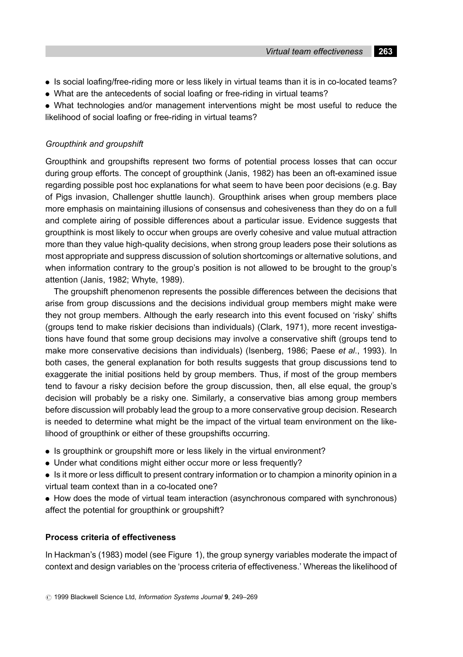- . Is social loafing/free-riding more or less likely in virtual teams than it is in co-located teams?
- . What are the antecedents of social loafing or free-riding in virtual teams?

. What technologies and/or management interventions might be most useful to reduce the likelihood of social loafing or free-riding in virtual teams?

#### Groupthink and groupshift

Groupthink and groupshifts represent two forms of potential process losses that can occur during group efforts. The concept of groupthink (Janis, 1982) has been an oft-examined issue regarding possible post hoc explanations for what seem to have been poor decisions (e.g. Bay of Pigs invasion, Challenger shuttle launch). Groupthink arises when group members place more emphasis on maintaining illusions of consensus and cohesiveness than they do on a full and complete airing of possible differences about a particular issue. Evidence suggests that groupthink is most likely to occur when groups are overly cohesive and value mutual attraction more than they value high-quality decisions, when strong group leaders pose their solutions as most appropriate and suppress discussion of solution shortcomings or alternative solutions, and when information contrary to the group's position is not allowed to be brought to the group's attention (Janis, 1982; Whyte, 1989).

The groupshift phenomenon represents the possible differences between the decisions that arise from group discussions and the decisions individual group members might make were they not group members. Although the early research into this event focused on 'risky' shifts (groups tend to make riskier decisions than individuals) (Clark, 1971), more recent investigations have found that some group decisions may involve a conservative shift (groups tend to make more conservative decisions than individuals) (Isenberg, 1986; Paese et al., 1993). In both cases, the general explanation for both results suggests that group discussions tend to exaggerate the initial positions held by group members. Thus, if most of the group members tend to favour a risky decision before the group discussion, then, all else equal, the group's decision will probably be a risky one. Similarly, a conservative bias among group members before discussion will probably lead the group to a more conservative group decision. Research is needed to determine what might be the impact of the virtual team environment on the likelihood of groupthink or either of these groupshifts occurring.

- . Is groupthink or groupshift more or less likely in the virtual environment?
- . Under what conditions might either occur more or less frequently?
- . Is it more or less difficult to present contrary information or to champion a minority opinion in a virtual team context than in a co-located one?
- . How does the mode of virtual team interaction (asynchronous compared with synchronous) affect the potential for groupthink or groupshift?

# Process criteria of effectiveness

In Hackman's (1983) model (see Figure 1), the group synergy variables moderate the impact of context and design variables on the `process criteria of effectiveness.' Whereas the likelihood of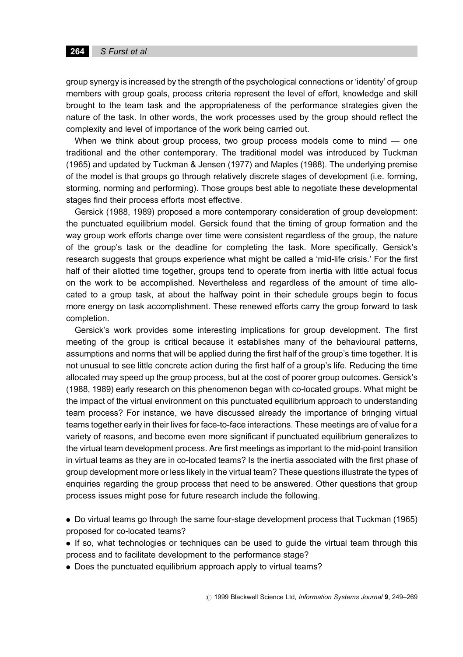group synergy is increased by the strength of the psychological connections or 'identity' of group members with group goals, process criteria represent the level of effort, knowledge and skill brought to the team task and the appropriateness of the performance strategies given the nature of the task. In other words, the work processes used by the group should reflect the complexity and level of importance of the work being carried out.

When we think about group process, two group process models come to mind  $-$  one traditional and the other contemporary. The traditional model was introduced by Tuckman (1965) and updated by Tuckman & Jensen (1977) and Maples (1988). The underlying premise of the model is that groups go through relatively discrete stages of development (i.e. forming, storming, norming and performing). Those groups best able to negotiate these developmental stages find their process efforts most effective.

Gersick (1988, 1989) proposed a more contemporary consideration of group development: the punctuated equilibrium model. Gersick found that the timing of group formation and the way group work efforts change over time were consistent regardless of the group, the nature of the group's task or the deadline for completing the task. More specifically, Gersick's research suggests that groups experience what might be called a 'mid-life crisis.' For the first half of their allotted time together, groups tend to operate from inertia with little actual focus on the work to be accomplished. Nevertheless and regardless of the amount of time allocated to a group task, at about the halfway point in their schedule groups begin to focus more energy on task accomplishment. These renewed efforts carry the group forward to task completion.

Gersick's work provides some interesting implications for group development. The first meeting of the group is critical because it establishes many of the behavioural patterns, assumptions and norms that will be applied during the first half of the group's time together. It is not unusual to see little concrete action during the first half of a group's life. Reducing the time allocated may speed up the group process, but at the cost of poorer group outcomes. Gersick's (1988, 1989) early research on this phenomenon began with co-located groups. What might be the impact of the virtual environment on this punctuated equilibrium approach to understanding team process? For instance, we have discussed already the importance of bringing virtual teams together early in their lives for face-to-face interactions. These meetings are of value for a variety of reasons, and become even more significant if punctuated equilibrium generalizes to the virtual team development process. Are first meetings as important to the mid-point transition in virtual teams as they are in co-located teams? Is the inertia associated with the first phase of group development more or less likely in the virtual team? These questions illustrate the types of enquiries regarding the group process that need to be answered. Other questions that group process issues might pose for future research include the following.

. Do virtual teams go through the same four-stage development process that Tuckman (1965) proposed for co-located teams?

. If so, what technologies or techniques can be used to guide the virtual team through this process and to facilitate development to the performance stage?

. Does the punctuated equilibrium approach apply to virtual teams?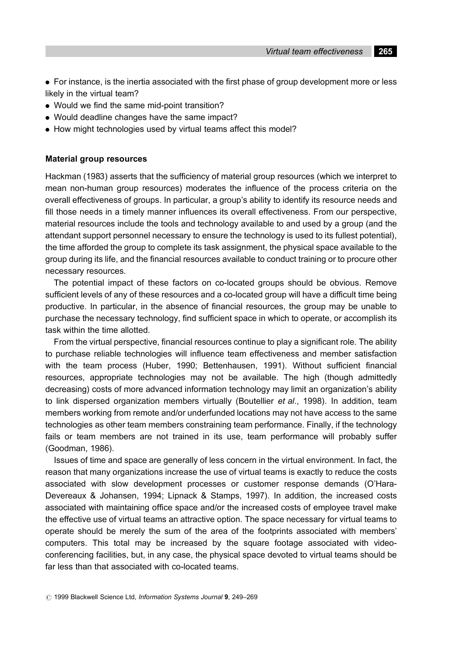- . For instance, is the inertia associated with the first phase of group development more or less likely in the virtual team?
- . Would we find the same mid-point transition?
- . Would deadline changes have the same impact?
- . How might technologies used by virtual teams affect this model?

#### Material group resources

Hackman (1983) asserts that the sufficiency of material group resources (which we interpret to mean non-human group resources) moderates the influence of the process criteria on the overall effectiveness of groups. In particular, a group's ability to identify its resource needs and fill those needs in a timely manner influences its overall effectiveness. From our perspective, material resources include the tools and technology available to and used by a group (and the attendant support personnel necessary to ensure the technology is used to its fullest potential), the time afforded the group to complete its task assignment, the physical space available to the group during its life, and the financial resources available to conduct training or to procure other necessary resources.

The potential impact of these factors on co-located groups should be obvious. Remove sufficient levels of any of these resources and a co-located group will have a difficult time being productive. In particular, in the absence of financial resources, the group may be unable to purchase the necessary technology, find sufficient space in which to operate, or accomplish its task within the time allotted.

From the virtual perspective, financial resources continue to play a significant role. The ability to purchase reliable technologies will influence team effectiveness and member satisfaction with the team process (Huber, 1990; Bettenhausen, 1991). Without sufficient financial resources, appropriate technologies may not be available. The high (though admittedly decreasing) costs of more advanced information technology may limit an organization's ability to link dispersed organization members virtually (Boutellier et al., 1998). In addition, team members working from remote and/or underfunded locations may not have access to the same technologies as other team members constraining team performance. Finally, if the technology fails or team members are not trained in its use, team performance will probably suffer (Goodman, 1986).

Issues of time and space are generally of less concern in the virtual environment. In fact, the reason that many organizations increase the use of virtual teams is exactly to reduce the costs associated with slow development processes or customer response demands (O'Hara-Devereaux & Johansen, 1994; Lipnack & Stamps, 1997). In addition, the increased costs associated with maintaining office space and/or the increased costs of employee travel make the effective use of virtual teams an attractive option. The space necessary for virtual teams to operate should be merely the sum of the area of the footprints associated with members' computers. This total may be increased by the square footage associated with videoconferencing facilities, but, in any case, the physical space devoted to virtual teams should be far less than that associated with co-located teams.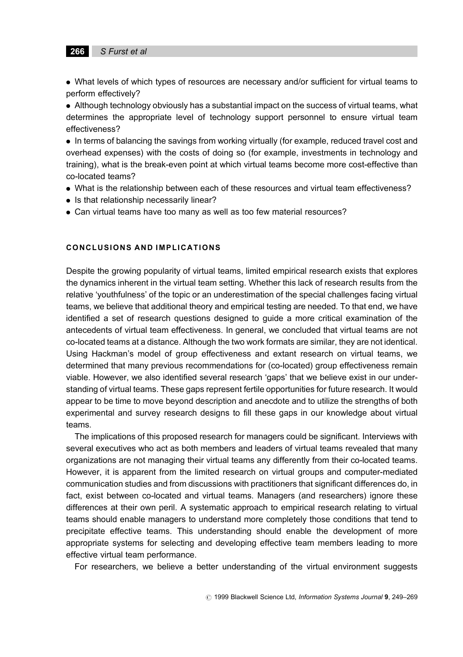. What levels of which types of resources are necessary and/or sufficient for virtual teams to perform effectively?

. Although technology obviously has a substantial impact on the success of virtual teams, what determines the appropriate level of technology support personnel to ensure virtual team effectiveness?

. In terms of balancing the savings from working virtually (for example, reduced travel cost and overhead expenses) with the costs of doing so (for example, investments in technology and training), what is the break-even point at which virtual teams become more cost-effective than co-located teams?

- . What is the relationship between each of these resources and virtual team effectiveness?
- Is that relationship necessarily linear?
- . Can virtual teams have too many as well as too few material resources?

#### CONCLUSIONS AND IMPLICATIONS

Despite the growing popularity of virtual teams, limited empirical research exists that explores the dynamics inherent in the virtual team setting. Whether this lack of research results from the relative `youthfulness' of the topic or an underestimation of the special challenges facing virtual teams, we believe that additional theory and empirical testing are needed. To that end, we have identified a set of research questions designed to guide a more critical examination of the antecedents of virtual team effectiveness. In general, we concluded that virtual teams are not co-located teams at a distance. Although the two work formats are similar, they are not identical. Using Hackman's model of group effectiveness and extant research on virtual teams, we determined that many previous recommendations for (co-located) group effectiveness remain viable. However, we also identified several research `gaps' that we believe exist in our understanding of virtual teams. These gaps represent fertile opportunities for future research. It would appear to be time to move beyond description and anecdote and to utilize the strengths of both experimental and survey research designs to fill these gaps in our knowledge about virtual teams.

The implications of this proposed research for managers could be significant. Interviews with several executives who act as both members and leaders of virtual teams revealed that many organizations are not managing their virtual teams any differently from their co-located teams. However, it is apparent from the limited research on virtual groups and computer-mediated communication studies and from discussions with practitioners that significant differences do, in fact, exist between co-located and virtual teams. Managers (and researchers) ignore these differences at their own peril. A systematic approach to empirical research relating to virtual teams should enable managers to understand more completely those conditions that tend to precipitate effective teams. This understanding should enable the development of more appropriate systems for selecting and developing effective team members leading to more effective virtual team performance.

For researchers, we believe a better understanding of the virtual environment suggests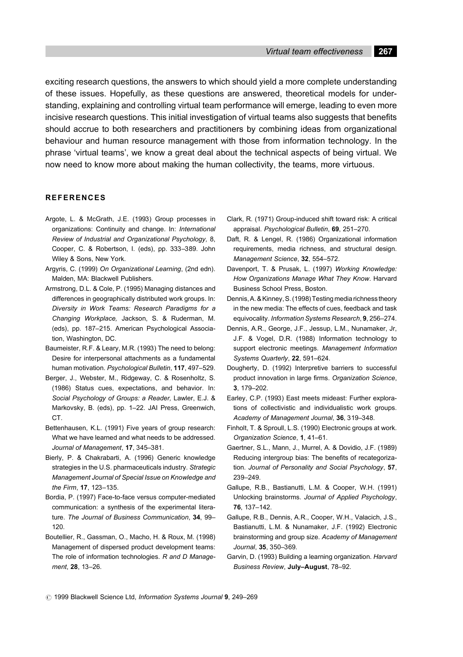exciting research questions, the answers to which should yield a more complete understanding of these issues. Hopefully, as these questions are answered, theoretical models for understanding, explaining and controlling virtual team performance will emerge, leading to even more incisive research questions. This initial investigation of virtual teams also suggests that benefits should accrue to both researchers and practitioners by combining ideas from organizational behaviour and human resource management with those from information technology. In the phrase `virtual teams', we know a great deal about the technical aspects of being virtual. We now need to know more about making the human collectivity, the teams, more virtuous.

#### **REFERENCES**

- Argote, L. & McGrath, J.E. (1993) Group processes in organizations: Continuity and change. In: International Review of Industrial and Organizational Psychology, 8, Cooper, C. & Robertson, I. (eds), pp. 333-389. John Wiley & Sons, New York.
- Argyris, C. (1999) On Organizational Learning, (2nd edn). Malden, MA: Blackwell Publishers.
- Armstrong, D.L. & Cole, P. (1995) Managing distances and differences in geographically distributed work groups. In: Diversity in Work Teams: Research Paradigms for a Changing Workplace, Jackson, S. & Ruderman, M. (eds), pp. 187-215. American Psychological Association, Washington, DC.
- Baumeister, R.F. & Leary, M.R. (1993) The need to belong: Desire for interpersonal attachments as a fundamental human motivation. Psychological Bulletin, 117, 497-529.
- Berger, J., Webster, M., Ridgeway, C. & Rosenholtz, S. (1986) Status cues, expectations, and behavior. In: Social Psychology of Groups: a Reader, Lawler, E.J. & Markovsky, B. (eds), pp. 1-22. JAI Press, Greenwich, CT.
- Bettenhausen, K.L. (1991) Five years of group research: What we have learned and what needs to be addressed. Journal of Management, 17, 345-381.
- Bierly, P. & Chakrabarti, A. (1996) Generic knowledge strategies in the U.S. pharmaceuticals industry. Strategic Management Journal of Special Issue on Knowledge and the Firm, 17, 123-135.
- Bordia, P. (1997) Face-to-face versus computer-mediated communication: a synthesis of the experimental literature. The Journal of Business Communication, 34, 99-120.
- Boutellier, R., Gassman, O., Macho, H. & Roux, M. (1998) Management of dispersed product development teams: The role of information technologies. R and D Management, 28, 13-26.
- Clark, R. (1971) Group-induced shift toward risk: A critical appraisal. Psychological Bulletin, 69, 251-270.
- Daft, R. & Lengel, R. (1986) Organizational information requirements, media richness, and structural design. Management Science, 32, 554-572.
- Davenport, T. & Prusak, L. (1997) Working Knowledge: How Organizations Manage What They Know. Harvard Business School Press, Boston.
- Dennis, A. & Kinney, S. (1998) Testing media richness theory in the new media: The effects of cues, feedback and task equivocality. Information Systems Research, 9, 256-274.
- Dennis, A.R., George, J.F., Jessup, L.M., Nunamaker, Jr, J.F. & Vogel, D.R. (1988) Information technology to support electronic meetings. Management Information Systems Quarterly, 22, 591-624.
- Dougherty, D. (1992) Interpretive barriers to successful product innovation in large firms. Organization Science, 3, 179±202.
- Earley, C.P. (1993) East meets mideast: Further explorations of collectivistic and individualistic work groups. Academy of Management Journal, 36, 319-348.
- Finholt, T. & Sproull, L.S. (1990) Electronic groups at work. Organization Science, 1, 41-61.
- Gaertner, S.L., Mann, J., Murrel, A. & Dovidio, J.F. (1989) Reducing intergroup bias: The benefits of recategorization. Journal of Personality and Social Psychology, 57, 239±249.
- Gallupe, R.B., Bastianutti, L.M. & Cooper, W.H. (1991) Unlocking brainstorms. Journal of Applied Psychology, 76, 137±142.
- Gallupe, R.B., Dennis, A.R., Cooper, W.H., Valacich, J.S., Bastianutti, L.M. & Nunamaker, J.F. (1992) Electronic brainstorming and group size. Academy of Management Journal, 35, 350-369.
- Garvin, D. (1993) Building a learning organization. Harvard Business Review, July-August, 78-92.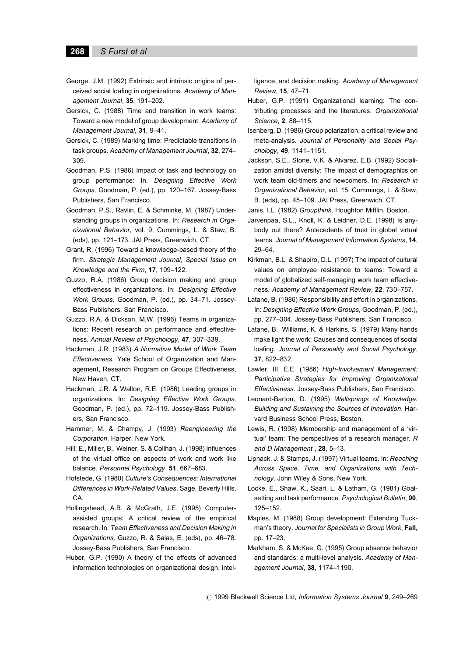- George, J.M. (1992) Extrinsic and intrinsic origins of perceived social loafing in organizations. Academy of Management Journal, 35, 191-202.
- Gersick, C. (1988) Time and transition in work teams: Toward a new model of group development. Academy of Management Journal, 31, 9-41.
- Gersick, C. (1989) Marking time: Predictable transitions in task groups. Academy of Management Journal, 32, 274-309.
- Goodman, P.S. (1986) Impact of task and technology on group performance: In. Designing Effective Work Groups, Goodman, P. (ed.), pp. 120-167. Jossey-Bass Publishers, San Francisco.
- Goodman, P.S., Ravlin, E. & Schminke, M. (1987) Understanding groups in organizations. In: Research in Organizational Behavior, vol. 9, Cummings, L. & Staw, B. (eds), pp. 121-173. JAI Press, Greenwich, CT.
- Grant, R. (1996) Toward a knowledge-based theory of the firm. Strategic Management Journal, Special Issue on Knowledge and the Firm, 17, 109-122.
- Guzzo, R.A. (1986) Group decision making and group effectiveness in organizations. In: Designing Effective Work Groups, Goodman, P. (ed.), pp. 34-71. Jossey-Bass Publishers, San Francisco.
- Guzzo, R.A. & Dickson, M.W. (1996) Teams in organizations: Recent research on performance and effectiveness. Annual Review of Psychology, 47, 307-339.
- Hackman, J.R. (1983) A Normative Model of Work Team Effectiveness. Yale School of Organization and Management, Research Program on Groups Effectiveness, New Haven, CT.
- Hackman, J.R. & Walton, R.E. (1986) Leading groups in organizations. In: Designing Effective Work Groups, Goodman, P. (ed.), pp. 72-119. Jossey-Bass Publishers, San Francisco.
- Hammer, M. & Champy, J. (1993) Reengineering the Corporation. Harper, New York.
- Hill, E., Miller, B., Weiner, S. & Colihan, J. (1998) Influences of the virtual office on aspects of work and work like balance. Personnel Psychology, 51, 667-683.
- Hofstede, G. (1980) Culture's Consequences: International Differences in Work-Related Values. Sage, Beverly Hills,  $C.A$
- Hollingshead, A.B. & McGrath, J.E. (1995) Computerassisted groups: A critical review of the empirical research. In: Team Effectiveness and Decision Making in Organizations, Guzzo, R. & Salas, E. (eds), pp. 46-78. Jossey-Bass Publishers, San Francisco.
- Huber, G.P. (1990) A theory of the effects of advanced information technologies on organizational design, intel-

ligence, and decision making. Academy of Management Review, 15, 47-71.

- Huber, G.P. (1991) Organizational learning: The contributing processes and the literatures. Organizational Science, 2, 88-115.
- Isenberg, D. (1986) Group polarization: a critical review and meta-analysis. Journal of Personality and Social Psy $chology, 49, 1141–1151.$
- Jackson, S.E., Stone, V.K. & Alvarez, E.B. (1992) Socialization amidst diversity: The impact of demographics on work team old-timers and newcomers. In: Research in Organizational Behavior, vol. 15, Cummings, L. & Staw, B. (eds), pp. 45-109. JAI Press, Greenwich, CT.
- Janis, I.L. (1982) Groupthink. Houghton Mifflin, Boston.
- Jarvenpaa, S.L., Knoll, K. & Leidner, D.E. (1998) Is anybody out there? Antecedents of trust in global virtual teams. Journal of Management Information Systems, 14, 29-64.
- Kirkman, B.L. & Shapiro, D.L. (1997) The impact of cultural values on employee resistance to teams: Toward a model of globalized self-managing work team effectiveness. Academy of Management Review, 22, 730-757.
- Latane, B. (1986) Responsibility and effort in organizations. In: Designing Effective Work Groups, Goodman, P. (ed.), pp. 277-304. Jossey-Bass Publishers, San Francisco.
- Latane, B., Williams, K. & Harkins, S. (1979) Many hands make light the work: Causes and consequences of social loafing. Journal of Personality and Social Psychology, 37, 822-832.
- Lawler, III, E.E. (1986) High-Involvement Management: Participative Strategies for Improving Organizational Effectiveness. Jossey-Bass Publishers, San Francisco.
- Leonard-Barton, D. (1995) Wellsprings of Knowledge: Building and Sustaining the Sources of Innovation. Harvard Business School Press, Boston.
- Lewis, R. (1998) Membership and management of a 'virtual' team: The perspectives of a research manager. R and D Management,  $28, 5-13$ .
- Lipnack, J. & Stamps, J. (1997) Virtual teams. In: Reaching Across Space, Time, and Organizations with Technology, John Wiley & Sons, New York.
- Locke, E., Shaw, K., Saari, L. & Latham, G. (1981) Goalsetting and task performance. Psychological Bulletin, 90, 125±152.
- Maples, M. (1988) Group development: Extending Tuckman's theory. Journal for Specialists in Group Work, Fall, pp. 17-23.
- Markham, S. & McKee, G. (1995) Group absence behavior and standards: a multi-level analysis. Academy of Management Journal, 38, 1174-1190.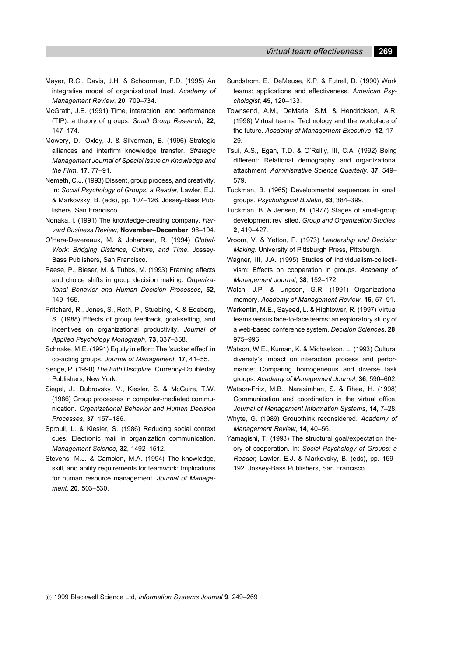- Mayer, R.C., Davis, J.H. & Schoorman, F.D. (1995) An integrative model of organizational trust. Academy of Management Review, 20, 709-734.
- McGrath, J.E. (1991) Time, interaction, and performance (TIP): a theory of groups. Small Group Research, 22, 147±174.
- Mowery, D., Oxley, J. & Silverman, B. (1996) Strategic alliances and interfirm knowledge transfer. Strategic Management Journal of Special Issue on Knowledge and the Firm, 17, 77-91.
- Nemeth, C.J. (1993) Dissent, group process, and creativity. In: Social Psychology of Groups, a Reader, Lawler, E.J. & Markovsky, B. (eds), pp. 107-126. Jossey-Bass Publishers, San Francisco.
- Nonaka, I. (1991) The knowledge-creating company. Harvard Business Review, November-December, 96-104.
- O'Hara-Devereaux, M. & Johansen, R. (1994) Global-Work: Bridging Distance, Culture, and Time. Jossey-Bass Publishers, San Francisco.
- Paese, P., Bieser, M. & Tubbs, M. (1993) Framing effects and choice shifts in group decision making. Organizational Behavior and Human Decision Processes, 52, 149±165.
- Pritchard, R., Jones, S., Roth, P., Stuebing, K. & Edeberg, S. (1988) Effects of group feedback, goal-setting, and incentives on organizational productivity. Journal of Applied Psychology Monograph, 73, 337-358.
- Schnake, M.E. (1991) Equity in effort: The `sucker effect' in co-acting groups. Journal of Management, 17, 41-55.
- Senge, P. (1990) The Fifth Discipline. Currency-Doubleday Publishers, New York.
- Siegel, J., Dubrovsky, V., Kiesler, S. & McGuire, T.W. (1986) Group processes in computer-mediated communication. Organizational Behavior and Human Decision Processes, 37, 157-186.
- Sproull, L. & Kiesler, S. (1986) Reducing social context cues: Electronic mail in organization communication. Management Science, 32, 1492-1512.
- Stevens, M.J. & Campion, M.A. (1994) The knowledge, skill, and ability requirements for teamwork: Implications for human resource management. Journal of Management, 20, 503-530.
- Sundstrom, E., DeMeuse, K.P. & Futrell, D. (1990) Work teams: applications and effectiveness. American Psy $chologist, 45, 120-133.$
- Townsend, A.M., DeMarie, S.M. & Hendrickson, A.R. (1998) Virtual teams: Technology and the workplace of the future. Academy of Management Executive, 12, 17-29.
- Tsui, A.S., Egan, T.D. & O'Reilly, III, C.A. (1992) Being different: Relational demography and organizational attachment. Administrative Science Quarterly, 37, 549-579.
- Tuckman, B. (1965) Developmental sequences in small groups. Psychological Bulletin, 63, 384-399.
- Tuckman, B. & Jensen, M. (1977) Stages of small-group development rev isited. Group and Organization Studies, 2, 419-427.
- Vroom, V. & Yetton, P. (1973) Leadership and Decision Making. University of Pittsburgh Press, Pittsburgh.
- Wagner, III, J.A. (1995) Studies of individualism-collectivism: Effects on cooperation in groups. Academy of Management Journal, 38, 152-172.
- Walsh, J.P. & Ungson, G.R. (1991) Organizational memory. Academy of Management Review, 16, 57-91.
- Warkentin, M.E., Sayeed, L. & Hightower, R. (1997) Virtual teams versus face-to-face teams: an exploratory study of a web-based conference system. Decision Sciences, 28, 975±996.
- Watson, W.E., Kuman, K. & Michaelson, L. (1993) Cultural diversity's impact on interaction process and performance: Comparing homogeneous and diverse task groups. Academy of Management Journal, 36, 590-602.
- Watson-Fritz, M.B., Narasimhan, S. & Rhee, H. (1998) Communication and coordination in the virtual office. Journal of Management Information Systems, 14, 7-28.
- Whyte, G. (1989) Groupthink reconsidered. Academy of Management Review, 14, 40-56.
- Yamagishi, T. (1993) The structural goal/expectation theory of cooperation. In: Social Psychology of Groups: a Reader, Lawler, E.J. & Markovsky, B. (eds), pp. 159-192. Jossey-Bass Publishers, San Francisco.

© 1999 Blackwell Science Ltd, Information Systems Journal 9, 249-269